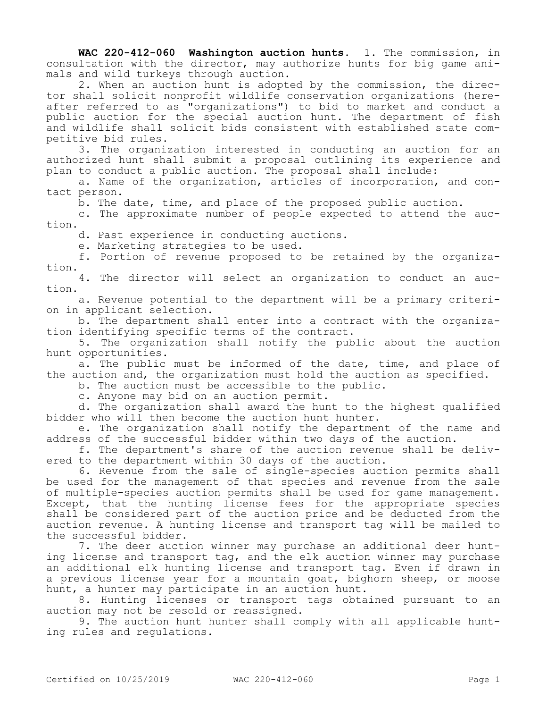**WAC 220-412-060 Washington auction hunts.** 1. The commission, in consultation with the director, may authorize hunts for big game animals and wild turkeys through auction.

2. When an auction hunt is adopted by the commission, the director shall solicit nonprofit wildlife conservation organizations (hereafter referred to as "organizations") to bid to market and conduct a public auction for the special auction hunt. The department of fish and wildlife shall solicit bids consistent with established state competitive bid rules.

3. The organization interested in conducting an auction for an authorized hunt shall submit a proposal outlining its experience and plan to conduct a public auction. The proposal shall include:

a. Name of the organization, articles of incorporation, and contact person.

b. The date, time, and place of the proposed public auction.

c. The approximate number of people expected to attend the auction.

d. Past experience in conducting auctions.

e. Marketing strategies to be used.

f. Portion of revenue proposed to be retained by the organization.

4. The director will select an organization to conduct an auction.

a. Revenue potential to the department will be a primary criterion in applicant selection.

b. The department shall enter into a contract with the organization identifying specific terms of the contract.

5. The organization shall notify the public about the auction hunt opportunities.

a. The public must be informed of the date, time, and place of the auction and, the organization must hold the auction as specified.

b. The auction must be accessible to the public.

c. Anyone may bid on an auction permit.

d. The organization shall award the hunt to the highest qualified bidder who will then become the auction hunt hunter.

e. The organization shall notify the department of the name and address of the successful bidder within two days of the auction.

f. The department's share of the auction revenue shall be delivered to the department within 30 days of the auction.

6. Revenue from the sale of single-species auction permits shall be used for the management of that species and revenue from the sale of multiple-species auction permits shall be used for game management. Except, that the hunting license fees for the appropriate species shall be considered part of the auction price and be deducted from the auction revenue. A hunting license and transport tag will be mailed to the successful bidder.

7. The deer auction winner may purchase an additional deer hunting license and transport tag, and the elk auction winner may purchase an additional elk hunting license and transport tag. Even if drawn in a previous license year for a mountain goat, bighorn sheep, or moose hunt, a hunter may participate in an auction hunt.

8. Hunting licenses or transport tags obtained pursuant to an auction may not be resold or reassigned.

9. The auction hunt hunter shall comply with all applicable hunting rules and regulations.